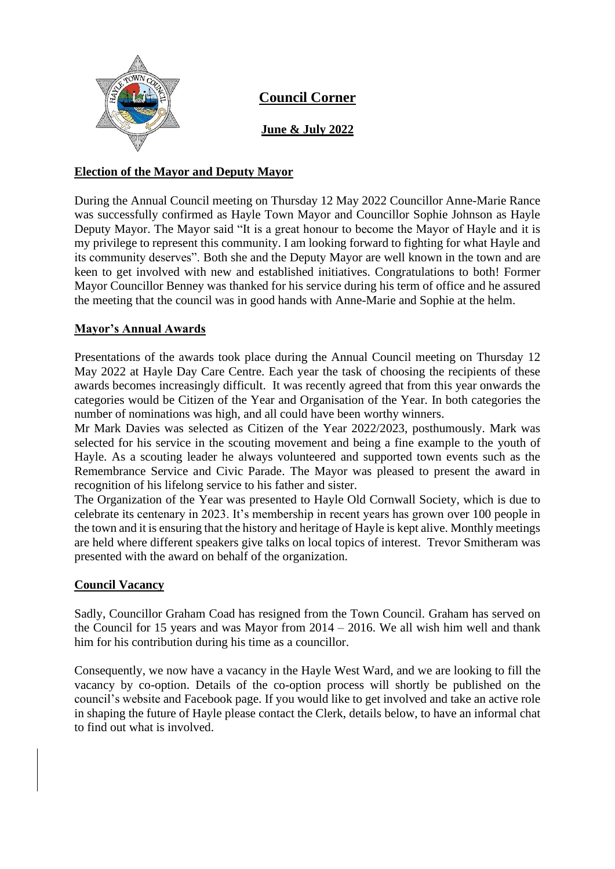

**Council Corner**

**June & July 2022**

## **Election of the Mayor and Deputy Mayor**

During the Annual Council meeting on Thursday 12 May 2022 Councillor Anne-Marie Rance was successfully confirmed as Hayle Town Mayor and Councillor Sophie Johnson as Hayle Deputy Mayor. The Mayor said "It is a great honour to become the Mayor of Hayle and it is my privilege to represent this community. I am looking forward to fighting for what Hayle and its community deserves". Both she and the Deputy Mayor are well known in the town and are keen to get involved with new and established initiatives. Congratulations to both! Former Mayor Councillor Benney was thanked for his service during his term of office and he assured the meeting that the council was in good hands with Anne-Marie and Sophie at the helm.

# **Mayor's Annual Awards**

Presentations of the awards took place during the Annual Council meeting on Thursday 12 May 2022 at Hayle Day Care Centre. Each year the task of choosing the recipients of these awards becomes increasingly difficult. It was recently agreed that from this year onwards the categories would be Citizen of the Year and Organisation of the Year. In both categories the number of nominations was high, and all could have been worthy winners.

Mr Mark Davies was selected as Citizen of the Year 2022/2023, posthumously. Mark was selected for his service in the scouting movement and being a fine example to the youth of Hayle. As a scouting leader he always volunteered and supported town events such as the Remembrance Service and Civic Parade. The Mayor was pleased to present the award in recognition of his lifelong service to his father and sister.

The Organization of the Year was presented to Hayle Old Cornwall Society, which is due to celebrate its centenary in 2023. It's membership in recent years has grown over 100 people in the town and it is ensuring that the history and heritage of Hayle is kept alive. Monthly meetings are held where different speakers give talks on local topics of interest. Trevor Smitheram was presented with the award on behalf of the organization.

## **Council Vacancy**

Sadly, Councillor Graham Coad has resigned from the Town Council. Graham has served on the Council for 15 years and was Mayor from 2014 – 2016. We all wish him well and thank him for his contribution during his time as a councillor.

Consequently, we now have a vacancy in the Hayle West Ward, and we are looking to fill the vacancy by co-option. Details of the co-option process will shortly be published on the council's website and Facebook page. If you would like to get involved and take an active role in shaping the future of Hayle please contact the Clerk, details below, to have an informal chat to find out what is involved.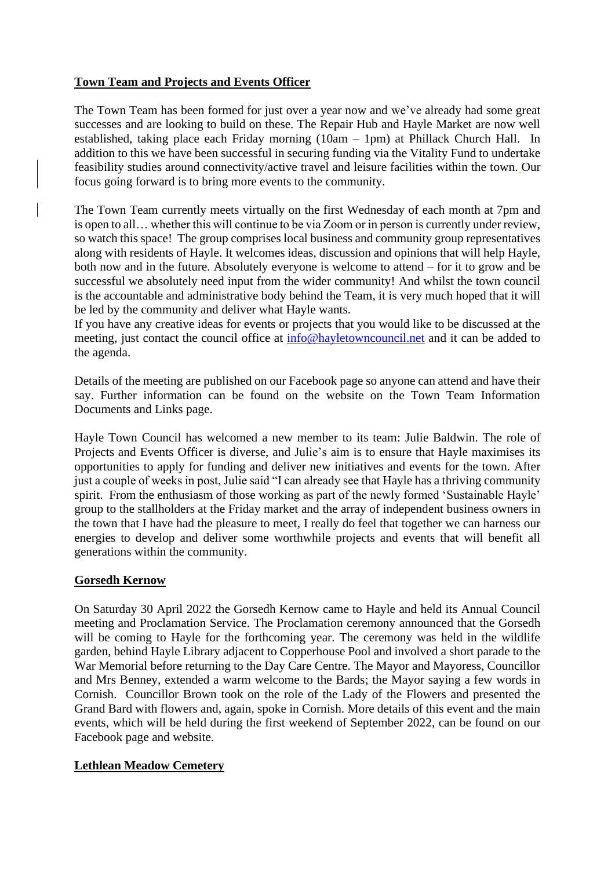## **Town Team and Projects and Events Officer**

The Town Team has been formed for just over a year now and we've already had some great successes and are looking to build on these. The Repair Hub and Hayle Market are now well established, taking place each Friday morning (10am – 1pm) at Phillack Church Hall. In addition to this we have been successful in securing funding via the Vitality Fund to undertake feasibility studies around connectivity/active travel and leisure facilities within the town. Our focus going forward is to bring more events to the community.

The Town Team currently meets virtually on the first Wednesday of each month at 7pm and is open to all… whether this will continue to be via Zoom or in person is currently under review, so watch this space! The group comprises local business and community group representatives along with residents of Hayle. It welcomes ideas, discussion and opinions that will help Hayle, both now and in the future. Absolutely everyone is welcome to attend – for it to grow and be successful we absolutely need input from the wider community! And whilst the town council is the accountable and administrative body behind the Team, it is very much hoped that it will be led by the community and deliver what Hayle wants.

If you have any creative ideas for events or projects that you would like to be discussed at the meeting, just contact the council office at [info@hayletowncouncil.net](mailto:info@hayletowncouncil.net) and it can be added to the agenda.

Details of the meeting are published on our Facebook page so anyone can attend and have their say. Further information can be found on the website on the Town Team Information Documents and Links page.

Hayle Town Council has welcomed a new member to its team: Julie Baldwin. The role of Projects and Events Officer is diverse, and Julie's aim is to ensure that Hayle maximises its opportunities to apply for funding and deliver new initiatives and events for the town. After just a couple of weeks in post, Julie said "I can already see that Hayle has a thriving community spirit. From the enthusiasm of those working as part of the newly formed 'Sustainable Hayle' group to the stallholders at the Friday market and the array of independent business owners in the town that I have had the pleasure to meet, I really do feel that together we can harness our energies to develop and deliver some worthwhile projects and events that will benefit all generations within the community.

### **Gorsedh Kernow**

On Saturday 30 April 2022 the Gorsedh Kernow came to Hayle and held its Annual Council meeting and Proclamation Service. The Proclamation ceremony announced that the Gorsedh will be coming to Hayle for the forthcoming year. The ceremony was held in the wildlife garden, behind Hayle Library adjacent to Copperhouse Pool and involved a short parade to the War Memorial before returning to the Day Care Centre. The Mayor and Mayoress, Councillor and Mrs Benney, extended a warm welcome to the Bards; the Mayor saying a few words in Cornish. Councillor Brown took on the role of the Lady of the Flowers and presented the Grand Bard with flowers and, again, spoke in Cornish. More details of this event and the main events, which will be held during the first weekend of September 2022, can be found on our Facebook page and website.

### **Lethlean Meadow Cemetery**